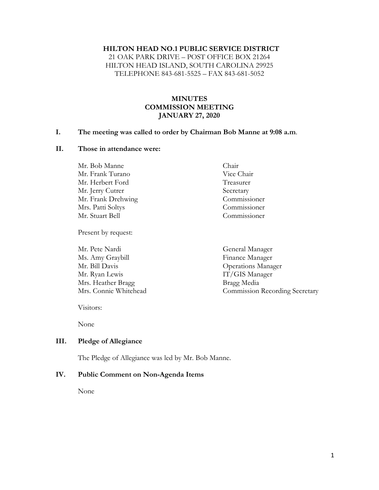#### **HILTON HEAD NO.1 PUBLIC SERVICE DISTRICT**

21 OAK PARK DRIVE – POST OFFICE BOX 21264 HILTON HEAD ISLAND, SOUTH CAROLINA 29925 TELEPHONE 843-681-5525 – FAX 843-681-5052

### **MINUTES COMMISSION MEETING JANUARY 27, 2020**

#### **I. The meeting was called to order by Chairman Bob Manne at 9:08 a.m**.

#### **II. Those in attendance were:**

Mr. Bob Manne Chair Mr. Frank Turano Vice Chair Mr. Herbert Ford Treasurer Mr. Jerry Cutrer Secretary Mr. Frank Drehwing Commissioner Mrs. Patti Soltys Commissioner Mr. Stuart Bell Commissioner

Present by request:

Mr. Pete Nardi General Manager Ms. Amy Graybill Finance Manager Mr. Bill Davis Operations Manager Mr. Ryan Lewis **IT/GIS Manager** Mrs. Heather Bragg Bragg Media

- 
- Mrs. Connie Whitehead Commission Recording Secretary

Visitors:

None

### **III. Pledge of Allegiance**

The Pledge of Allegiance was led by Mr. Bob Manne.

#### **IV. Public Comment on Non-Agenda Items**

None